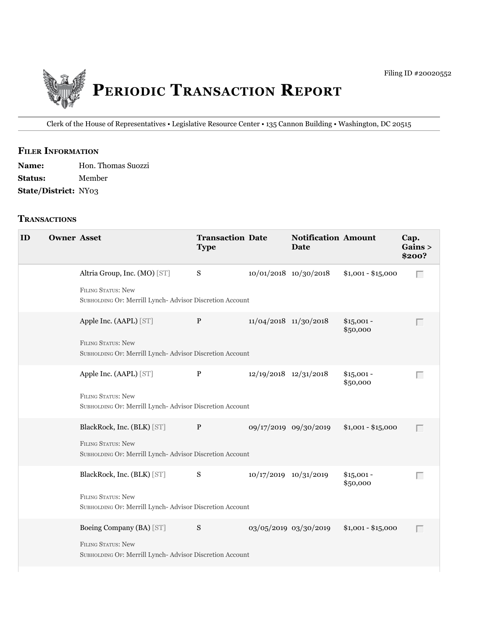

Clerk of the House of Representatives • Legislative Resource Center • 135 Cannon building • Washington, DC 20515

## **filer information**

| <b>Name:</b>                | Hon. Thomas Suozzi |
|-----------------------------|--------------------|
| <b>Status:</b>              | Member             |
| <b>State/District: NY03</b> |                    |

#### **tranSactionS**

| ID | <b>Owner Asset</b> |                                                                                                                      | <b>Transaction Date</b><br><b>Type</b> |                           | <b>Notification Amount</b><br><b>Date</b> |                         | Cap.<br>Gains ><br>\$200? |
|----|--------------------|----------------------------------------------------------------------------------------------------------------------|----------------------------------------|---------------------------|-------------------------------------------|-------------------------|---------------------------|
|    |                    | Altria Group, Inc. (MO) [ST]<br><b>FILING STATUS: New</b><br>SUBHOLDING OF: Merrill Lynch-Advisor Discretion Account | S                                      | 10/01/2018 10/30/2018     |                                           | $$1,001 - $15,000$      | Г                         |
|    |                    | Apple Inc. (AAPL) [ST]<br><b>FILING STATUS: New</b><br>SUBHOLDING OF: Merrill Lynch-Advisor Discretion Account       | P                                      | $11/04/2018$ $11/30/2018$ |                                           | $$15,001 -$<br>\$50,000 |                           |
|    |                    | Apple Inc. (AAPL) [ST]<br><b>FILING STATUS: New</b><br>SUBHOLDING OF: Merrill Lynch-Advisor Discretion Account       | $\mathbf{P}$                           | 12/19/2018 12/31/2018     |                                           | $$15,001 -$<br>\$50,000 | Г                         |
|    |                    | BlackRock, Inc. (BLK) [ST]<br>FILING STATUS: New<br>SUBHOLDING OF: Merrill Lynch-Advisor Discretion Account          | P                                      |                           | 09/17/2019 09/30/2019                     | $$1,001 - $15,000$      | $\Box$                    |
|    |                    | BlackRock, Inc. (BLK) [ST]<br><b>FILING STATUS: New</b><br>SUBHOLDING OF: Merrill Lynch-Advisor Discretion Account   | S                                      | 10/17/2019 10/31/2019     |                                           | $$15,001 -$<br>\$50,000 | Г                         |
|    |                    | Boeing Company (BA) [ST]<br>FILING STATUS: New<br>SUBHOLDING OF: Merrill Lynch-Advisor Discretion Account            | S                                      |                           | 03/05/2019 03/30/2019                     | $$1,001 - $15,000$      | Г                         |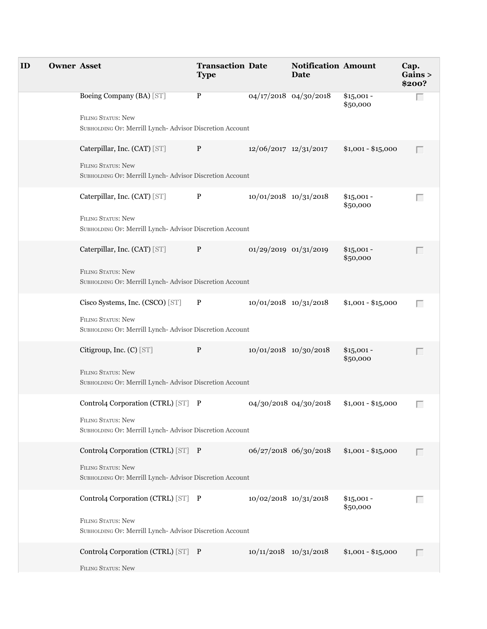| ID | <b>Owner Asset</b> |                                                                                                                            | <b>Transaction Date</b><br><b>Type</b> |                           | <b>Notification Amount</b><br>Date |                         | Cap.<br>Gains ><br>\$200? |
|----|--------------------|----------------------------------------------------------------------------------------------------------------------------|----------------------------------------|---------------------------|------------------------------------|-------------------------|---------------------------|
|    |                    | Boeing Company (BA) [ST]<br><b>FILING STATUS: New</b><br>SUBHOLDING OF: Merrill Lynch- Advisor Discretion Account          | P                                      |                           | $04/17/2018$ $04/30/2018$          | $$15,001 -$<br>\$50,000 | $\Box$                    |
|    |                    | Caterpillar, Inc. (CAT) [ST]<br><b>FILING STATUS: New</b><br>SUBHOLDING OF: Merrill Lynch- Advisor Discretion Account      | P                                      | 12/06/2017 12/31/2017     |                                    | $$1,001 - $15,000$      |                           |
|    |                    | Caterpillar, Inc. (CAT) [ST]<br><b>FILING STATUS: New</b><br>SUBHOLDING OF: Merrill Lynch-Advisor Discretion Account       | P                                      | 10/01/2018 10/31/2018     |                                    | $$15,001 -$<br>\$50,000 | Г                         |
|    |                    | Caterpillar, Inc. (CAT) [ST]<br><b>FILING STATUS: New</b><br>SUBHOLDING OF: Merrill Lynch- Advisor Discretion Account      | $\mathbf{P}$                           | 01/29/2019 01/31/2019     |                                    | $$15,001 -$<br>\$50,000 |                           |
|    |                    | Cisco Systems, Inc. (CSCO) [ST]<br><b>FILING STATUS: New</b><br>SUBHOLDING OF: Merrill Lynch-Advisor Discretion Account    | P                                      | 10/01/2018 10/31/2018     |                                    | $$1,001 - $15,000$      | Г                         |
|    |                    | Citigroup, Inc. (C) [ST]<br>FILING STATUS: New<br>SUBHOLDING OF: Merrill Lynch- Advisor Discretion Account                 | $\mathbf P$                            |                           | 10/01/2018 10/30/2018              | $$15,001 -$<br>\$50,000 |                           |
|    |                    | Control4 Corporation (CTRL) [ST] P<br>FILING STATUS: New<br>SUBHOLDING OF: Merrill Lynch-Advisor Discretion Account        |                                        |                           | 04/30/2018 04/30/2018              | $$1,001 - $15,000$      | $\mathbb{R}^n$            |
|    |                    | Control4 Corporation (CTRL) [ST] P<br>FILING STATUS: New<br>SUBHOLDING OF: Merrill Lynch- Advisor Discretion Account       |                                        |                           | 06/27/2018 06/30/2018              | $$1,001 - $15,000$      |                           |
|    |                    | Control4 Corporation (CTRL) [ST] P<br><b>FILING STATUS: New</b><br>SUBHOLDING OF: Merrill Lynch-Advisor Discretion Account |                                        | 10/02/2018 10/31/2018     |                                    | $$15,001 -$<br>\$50,000 | Г                         |
|    |                    | Control4 Corporation (CTRL) [ST] P<br>FILING STATUS: New                                                                   |                                        | $10/11/2018$ $10/31/2018$ |                                    | $$1,001 - $15,000$      |                           |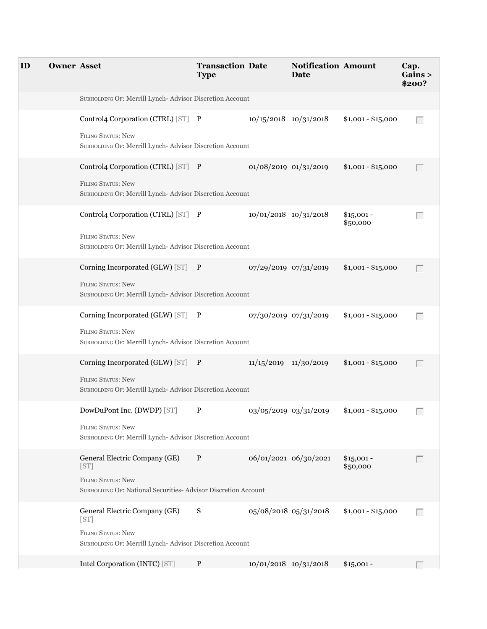| ID | <b>Owner Asset</b> |                                                                                                                                     | <b>Transaction Date</b><br><b>Type</b> |                           | <b>Notification Amount</b><br>Date |                         | Cap.<br>Gains ><br>\$200? |
|----|--------------------|-------------------------------------------------------------------------------------------------------------------------------------|----------------------------------------|---------------------------|------------------------------------|-------------------------|---------------------------|
|    |                    | SUBHOLDING OF: Merrill Lynch- Advisor Discretion Account                                                                            |                                        |                           |                                    |                         |                           |
|    |                    | Control4 Corporation (CTRL) [ST] P<br><b>FILING STATUS: New</b><br>SUBHOLDING OF: Merrill Lynch-Advisor Discretion Account          |                                        | $10/15/2018$ $10/31/2018$ |                                    | $$1,001 - $15,000$      | Г                         |
|    |                    | Control4 Corporation (CTRL) [ST] P<br><b>FILING STATUS: New</b><br>SUBHOLDING OF: Merrill Lynch- Advisor Discretion Account         |                                        | 01/08/2019 01/31/2019     |                                    | $$1,001 - $15,000$      |                           |
|    |                    | Control4 Corporation (CTRL) [ST] P<br><b>FILING STATUS: New</b><br>SUBHOLDING OF: Merrill Lynch-Advisor Discretion Account          |                                        | $10/01/2018$ $10/31/2018$ |                                    | $$15,001 -$<br>\$50,000 | Г                         |
|    |                    | Corning Incorporated (GLW) [ST] P<br><b>FILING STATUS: New</b><br>SUBHOLDING OF: Merrill Lynch- Advisor Discretion Account          |                                        | 07/29/2019 07/31/2019     |                                    | $$1,001 - $15,000$      |                           |
|    |                    | Corning Incorporated (GLW) [ST] P<br>FILING STATUS: New<br>SUBHOLDING OF: Merrill Lynch-Advisor Discretion Account                  |                                        | 07/30/2019 07/31/2019     |                                    | $$1,001 - $15,000$      | Г                         |
|    |                    | Corning Incorporated (GLW) [ST] P<br><b>FILING STATUS: New</b><br>SUBHOLDING OF: Merrill Lynch- Advisor Discretion Account          |                                        | 11/15/2019 11/30/2019     |                                    | $$1,001 - $15,000$      | Г                         |
|    |                    | DowDuPont Inc. (DWDP) [ST]<br><b>FILING STATUS: New</b><br>SUBHOLDING OF: Merrill Lynch- Advisor Discretion Account                 | P                                      | 03/05/2019 03/31/2019     |                                    | $$1,001 - $15,000$      |                           |
|    |                    | General Electric Company (GE)<br>[ST]<br><b>FILING STATUS: New</b><br>SUBHOLDING OF: National Securities-Advisor Discretion Account | P                                      |                           | 06/01/2021 06/30/2021              | $$15,001 -$<br>\$50,000 |                           |
|    |                    | General Electric Company (GE)<br>[ST]<br><b>FILING STATUS: New</b><br>SUBHOLDING OF: Merrill Lynch- Advisor Discretion Account      | S                                      | 05/08/2018 05/31/2018     |                                    | $$1,001 - $15,000$      | $\Box$                    |
|    |                    | Intel Corporation (INTC) [ST]                                                                                                       | P                                      | $10/01/2018$ $10/31/2018$ |                                    | $$15,001 -$             |                           |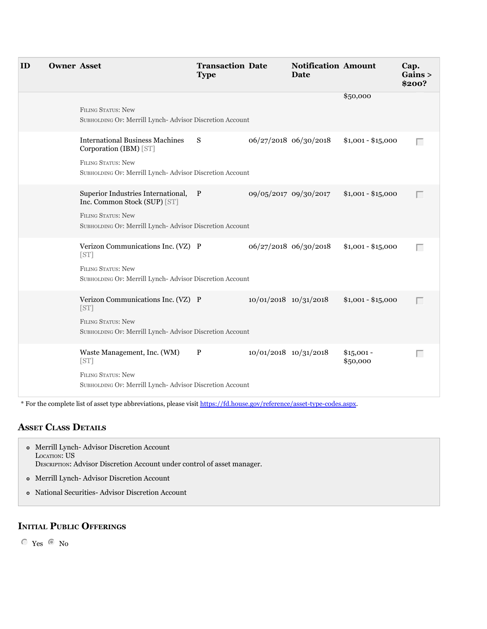| ID | <b>Owner Asset</b> |                                                                                                                                                              | <b>Transaction Date</b><br><b>Type</b> |                           | <b>Notification Amount</b><br>Date |                         | Cap.<br>Gains ><br>\$200? |
|----|--------------------|--------------------------------------------------------------------------------------------------------------------------------------------------------------|----------------------------------------|---------------------------|------------------------------------|-------------------------|---------------------------|
|    |                    | <b>FILING STATUS: New</b><br>SUBHOLDING OF: Merrill Lynch-Advisor Discretion Account                                                                         |                                        |                           |                                    | \$50,000                |                           |
|    |                    | <b>International Business Machines</b><br>Corporation (IBM) [ST]<br><b>FILING STATUS: New</b><br>SUBHOLDING OF: Merrill Lynch- Advisor Discretion Account    | S                                      |                           | 06/27/2018 06/30/2018              | $$1,001 - $15,000$      | $\Box$                    |
|    |                    | Superior Industries International, P<br>Inc. Common Stock (SUP) [ST]<br><b>FILING STATUS: New</b><br>SUBHOLDING OF: Merrill Lynch-Advisor Discretion Account |                                        | 09/05/2017 09/30/2017     |                                    | $$1,001 - $15,000$      | Г                         |
|    |                    | Verizon Communications Inc. (VZ) P<br>[ST]<br><b>FILING STATUS: New</b><br>SUBHOLDING OF: Merrill Lynch-Advisor Discretion Account                           |                                        |                           | 06/27/2018 06/30/2018              | $$1,001 - $15,000$      | $\Box$                    |
|    |                    | Verizon Communications Inc. (VZ) P<br>[ST]<br><b>FILING STATUS: New</b><br>SUBHOLDING OF: Merrill Lynch-Advisor Discretion Account                           |                                        | $10/01/2018$ $10/31/2018$ |                                    | $$1,001 - $15,000$      | $\Box$                    |
|    |                    | Waste Management, Inc. (WM)<br>[ST]<br><b>FILING STATUS: New</b><br>SUBHOLDING OF: Merrill Lynch-Advisor Discretion Account                                  | $\mathbf{P}$                           | $10/01/2018$ $10/31/2018$ |                                    | $$15,001 -$<br>\$50,000 | Г                         |

\* For the complete list of asset type abbreviations, please visit<https://fd.house.gov/reference/asset-type-codes.aspx>.

#### **aSSet claSS DetailS**

- $\bullet$ Merrill Lynch- Advisor Discretion Account Locarion: US LOCATION: US DESCRIPTION: Advisor Discretion Account under control of asset manager. Merrill Lynch- Advisor Discretion Account
- National Securities- Advisor Discretion Account

### **initial Public offeringS**

 $\degree$  Yes  $\degree$  No